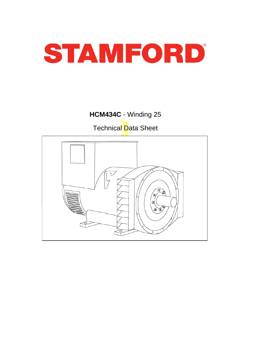



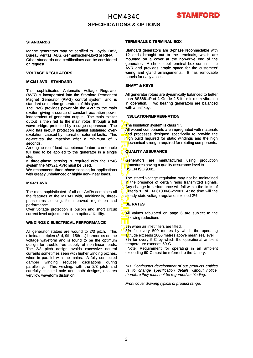### HCM434C **SPECIFICATIONS & OPTIONS**



### **STANDARDS**

Marine generators may be certified to Lloyds, DnV, Bureau Veritas, ABS, Germanischer-Lloyd or RINA. Other standards and certifications can be considered on request.

### **VOLTAGE REGULATORS**

### **MX341 AVR - STANDARD**

This sophisticated Automatic Voltage Regulator (AVR) is incorporated into the Stamford Permanent Magnet Generator (PMG) control system, and is standard on marine generators of this type.

The PMG provides power via the AVR to the main exciter, giving a source of constant excitation power independent of generator output. The main exciter output is then fed to the main rotor, through a full wave bridge, protected by a surge suppressor. The AVR has in-built protection against sustained overexcitation, caused by internal or external faults. This de-excites the machine after a minimum of 5 seconds.

An engine relief load acceptance feature can enable full load to be applied to the generator in a single step.

If three-phase sensing is required with the PMG system the MX321 AVR must be used.

We recommend three-phase sensing for applications with greatly unbalanced or highly non -linear loads with greatly unbalanced or highly non-linear loads.

#### **MX321 AVR**

The most sophisticated of all our AVRs combines all the features of the MX341 with, additionally, threephase rms sensing, for improved regulation and performance.

Over voltage protection is built-in and short circuit current level adjustments is an optional facility.

#### **WINDINGS & ELECTRICAL PERFORMANCE**

All generator stators are wound to 2/3 pitch. This eliminates triplen (3rd, 9th, 15th …) harmonics on the voltage waveform and is found to be the optimum design for trouble-free supply of non-linear loads. The 2/3 pitch design avoids excessive neutral currents sometimes seen with higher winding pitches, when in parallel with the mains. A fully connected damper winding reduces oscillations during paralleling. This winding, with the 2/3 pitch and carefully selected pole and tooth designs, ensures very low waveform distortion.

#### **TERMINALS & TERMINAL BOX**

Standard generators are 3-phase reconnectable with 12 ends brought out to the terminals, which are mounted on a cover at the non-drive end of the generator. A sheet steel terminal box contains the AVR and provides ample space for the customers' wiring and gland arrangements. It has removable panels for easy access.

#### **SHAFT & KEYS**

All generator rotors are dynamically balanced to better than BS6861:Part 1 Grade 2.5 for minimum vibration in operation. Two bearing generators are balanced with a half key.

#### **INSULATION/IMPREGNATION**

The insulation system is class 'H'.

**All wound components are impregnated with materials** and processes designed specifically to provide the high build required for static windings and the high mechanical strength required for rotating components.

### **QUALITY ASSURANCE**

Generators are manufactured using production procedures having a quality assurance level to BS EN ISO 9001.

APPROVED DOCUMENT DOCUMENT PROVED DUANT DU CONTRACTORI The stated voltage regulation may not be maintained in the presence of certain radio transmitted signals. Any change in performance will fall within the limits of Criteria 'B' of EN 61000-6-2:2001. At no time will the steady-state voltage regulation exceed 2%.

### **DE RATES**

All values tabulated on page 6 are subject to the following reductions

5% when air inlet filters are fitted.

3% for every 500 metres by which the operating altitude exceeds 1000 metres above mean sea level. 3% for every 5 C by which the operational ambient temperature exceeds 50 C.

Note: Requirement for operating in an ambient exceeding 60 C must be referred to the factory.

*NB Continuous development of our products entitles us to change specification details without notice, therefore they must not be regarded as binding.*

*Front cover drawing typical of product range.*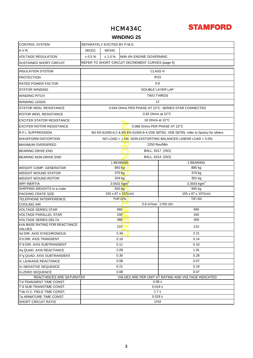

### **WINDING 25**

| <b>CONTROL SYSTEM</b>                                  | SEPARATELY EXCITED BY P.M.G.                                                                                                                      |         |                                                  |                                                     |
|--------------------------------------------------------|---------------------------------------------------------------------------------------------------------------------------------------------------|---------|--------------------------------------------------|-----------------------------------------------------|
| A.V.R.                                                 | MX321                                                                                                                                             | MX341   |                                                  |                                                     |
| <b>VOLTAGE REGULATION</b>                              | $\pm 0.5 \%$                                                                                                                                      | ± 1.0 % | With 4% ENGINE GOVERNING                         |                                                     |
| <b>SUSTAINED SHORT CIRCUIT</b>                         |                                                                                                                                                   |         | REFER TO SHORT CIRCUIT DECREMENT CURVES (page 5) |                                                     |
| <b>INSULATION SYSTEM</b>                               | <b>CLASS H</b>                                                                                                                                    |         |                                                  |                                                     |
| <b>PROTECTION</b>                                      | IP <sub>23</sub>                                                                                                                                  |         |                                                  |                                                     |
| <b>RATED POWER FACTOR</b>                              | 0.8                                                                                                                                               |         |                                                  |                                                     |
| <b>STATOR WINDING</b>                                  | DOUBLE LAYER LAP                                                                                                                                  |         |                                                  |                                                     |
| WINDING PITCH                                          | <b>TWO THIRDS</b>                                                                                                                                 |         |                                                  |                                                     |
| <b>WINDING LEADS</b>                                   | 12                                                                                                                                                |         |                                                  |                                                     |
| STATOR WDG. RESISTANCE                                 | 0.044 Ohms PER PHASE AT 22°C SERIES STAR CONNECTED                                                                                                |         |                                                  |                                                     |
| ROTOR WDG. RESISTANCE                                  |                                                                                                                                                   |         | 0.92 Ohms at 22°C                                |                                                     |
| <b>EXCITER STATOR RESISTANCE</b>                       |                                                                                                                                                   |         | 18 Ohms at 22°C                                  |                                                     |
| <b>EXCITER ROTOR RESISTANCE</b>                        | 0.068 Ohms PER PHASE AT 22°C                                                                                                                      |         |                                                  |                                                     |
| <b>R.F.I. SUPPRESSION</b>                              |                                                                                                                                                   |         |                                                  |                                                     |
| <b>WAVEFORM DISTORTION</b>                             | BS EN 61000-6-2 & BS EN 61000-6-4, VDE 0875G, VDE 0875N. refer to factory for others<br>NO LOAD < 1.5% NON-DISTORTING BALANCED LINEAR LOAD < 5.0% |         |                                                  |                                                     |
| <b>MAXIMUM OVERSPEED</b>                               |                                                                                                                                                   |         | 2250 Rev/Min                                     |                                                     |
|                                                        |                                                                                                                                                   |         |                                                  |                                                     |
| <b>BEARING DRIVE END</b>                               | BALL. 6317 (ISO)<br>BALL. 6314 (ISO)                                                                                                              |         |                                                  |                                                     |
| <b>BEARING NON-DRIVE END</b>                           |                                                                                                                                                   |         |                                                  | 2 BEARING                                           |
| <b>WEIGHT COMP. GENERATOR</b>                          |                                                                                                                                                   |         | 1 BEARING<br>850 kg L                            | 885 kg                                              |
| <b>WEIGHT WOUND STATOR</b>                             |                                                                                                                                                   |         | 370 kg                                           | 370 kg                                              |
| <b>WEIGHT WOUND ROTOR</b>                              |                                                                                                                                                   |         | 324 kg                                           | 301 kg                                              |
| <b>WR<sup>2</sup> INERTIA</b>                          |                                                                                                                                                   |         | 3.5531 $\text{kgm}^2$                            | 3.3543 $kgm2$                                       |
| SHIPPING WEIGHTS in a crate                            |                                                                                                                                                   |         | 920 kg                                           | 945 kg                                              |
| <b>PACKING CRATE SIZE</b>                              |                                                                                                                                                   |         | 155 x 87 x $107$ (cm)                            | 155 x 87 x 107(cm)                                  |
| TELEPHONE INTERFERENCE                                 |                                                                                                                                                   |         | THF<2%                                           | <b>TIF&lt;50</b>                                    |
| <b>COOLING AIR</b>                                     |                                                                                                                                                   |         | 0.8 m <sup>3</sup> /sec 1700 cfm                 |                                                     |
| <b>VOLTAGE SERIES STAR</b>                             |                                                                                                                                                   |         | 660                                              | 690                                                 |
| <b>VOLTAGE PARALLEL STAR</b>                           |                                                                                                                                                   |         | 330                                              | 345                                                 |
| <b>VOLTAGE SERIES DELTA</b>                            |                                                                                                                                                   |         | 380                                              | 400                                                 |
| <b>kVA BASE RATING FOR REACTANCE</b><br><b>VALUES</b>  |                                                                                                                                                   |         | 210                                              | 210                                                 |
| Xd DIR. AXIS SYNCHRONOUS                               |                                                                                                                                                   |         | 2.4 <u>4 </u>                                    | 2.21                                                |
| X'd DIR. AXIS TRANSIENT                                |                                                                                                                                                   |         | 0.16                                             | 0.14                                                |
| IX"d DIR. AXIS SUBTRANSIENT                            |                                                                                                                                                   |         | 0.11                                             | 0.10                                                |
| Xq QUAD. AXIS REACTANCE                                |                                                                                                                                                   |         | 2.09                                             | 1.91                                                |
| X"q QUAD. AXIS SUBTRANSIENT                            |                                                                                                                                                   |         | 0.30                                             | 0.28                                                |
| XL LEAKAGE REACTANCE                                   |                                                                                                                                                   |         | 0.08                                             | 0.07                                                |
| X <sub>2</sub> NEGATIVE SEQUENCE                       |                                                                                                                                                   |         | 0.21                                             | 0.19                                                |
| X <sub>0</sub> ZERO SEQUENCE                           |                                                                                                                                                   |         | 0.08                                             | 0.07                                                |
| REACTANCES ARE SATURATED                               |                                                                                                                                                   |         |                                                  | VALUES ARE PER UNIT AT RATING AND VOLTAGE INDICATED |
| T'd TRANSIENT TIME CONST.                              |                                                                                                                                                   |         | 0.08 s                                           |                                                     |
| T"d SUB-TRANSTIME CONST.                               |                                                                                                                                                   |         | 0.019 s<br>1.7 <sub>s</sub>                      |                                                     |
| T'do O.C. FIELD TIME CONST.<br>Ta ARMATURE TIME CONST. |                                                                                                                                                   |         | 0.018 s                                          |                                                     |
| <b>SHORT CIRCUIT RATIO</b>                             | 1/Xd                                                                                                                                              |         |                                                  |                                                     |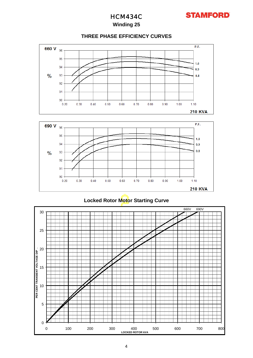## **STAMFORD**

### **Winding 25**

**THREE PHASE EFFICIENCY CURVES**





**Locked Rotor Motor Starting Curve** 

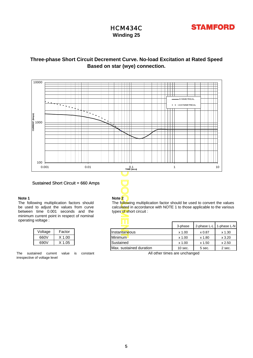

**Winding 25**

### **Based on star (wye) connection. Three-phase Short Circuit Decrement Curve. No-load Excitation at Rated Speed**



**Note 2**

### Sustained Short Circuit = 660 Amps

#### **Note 1**

The following multiplication factors should be used to adjust the values from curve between time 0.001 seconds and the minimum current point in respect of nominal operating voltage :

| Voltage | Factor   |
|---------|----------|
| 660V    | $X$ 1.00 |
| 690V    | X 1.05   |

The sustained current value is constant irrespective of voltage level

The following multiplication factor should be used to convert the values calculated in accordance with NOTE 1 to those applicable to the various types of short circuit :

| oitay <del>c</del> . |        |                         |           |             |               |
|----------------------|--------|-------------------------|-----------|-------------|---------------|
|                      |        | - 4 8<br><u>and</u>     | 3-phase   | 2-phase L-L | 1-phase L-N I |
| Voltage              | Factor | Instantaneous           | $x$ 1.00  | x 0.87      | x 1.30        |
| 660V                 | X 1.00 | Minimum <sup>1</sup>    | $x$ 1.00  | x 1.80      | x3.20         |
| 690V                 | X 1.05 | Sustained               | $x$ 1.00  | x 1.50      | x 2.50        |
|                      |        | Max. sustained duration | $10$ sec. | 5 sec.      | 2 sec.        |

All other times are unchanged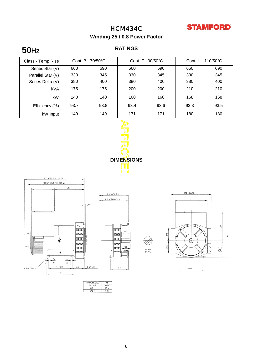

**Winding 25 / 0.8 Power Factor**

## **50**Hz

### **RATINGS**

| Class - Temp Rise | Cont. B - 70/50°C |      | Cont. F - 90/50°C |      | Cont. H - 110/50°C |      |
|-------------------|-------------------|------|-------------------|------|--------------------|------|
| Series Star (V)   | 660               | 690  | 660               | 690  | 660                | 690  |
| Parallel Star (V) | 330               | 345  | 330               | 345  | 330                | 345  |
| Series Delta (V)  | 380               | 400  | 380               | 400  | 380                | 400  |
| kVA               | 175               | 175  | 200               | 200  | 210                | 210  |
| kW                | 140               | 140  | 160               | 160  | 168                | 168  |
| Efficiency (%)    | 93.7              | 93.8 | 93.4              | 93.6 | 93.3               | 93.5 |
| kW Input          | 149               | 149  | 171               | 171  | 180                | 180  |
|                   |                   |      |                   |      |                    |      |





| COUPLING DISC |       |
|---------------|-------|
| SAE           | 39.68 |
|               |       |
|               |       |



 $80,030$ <br> $80,011$